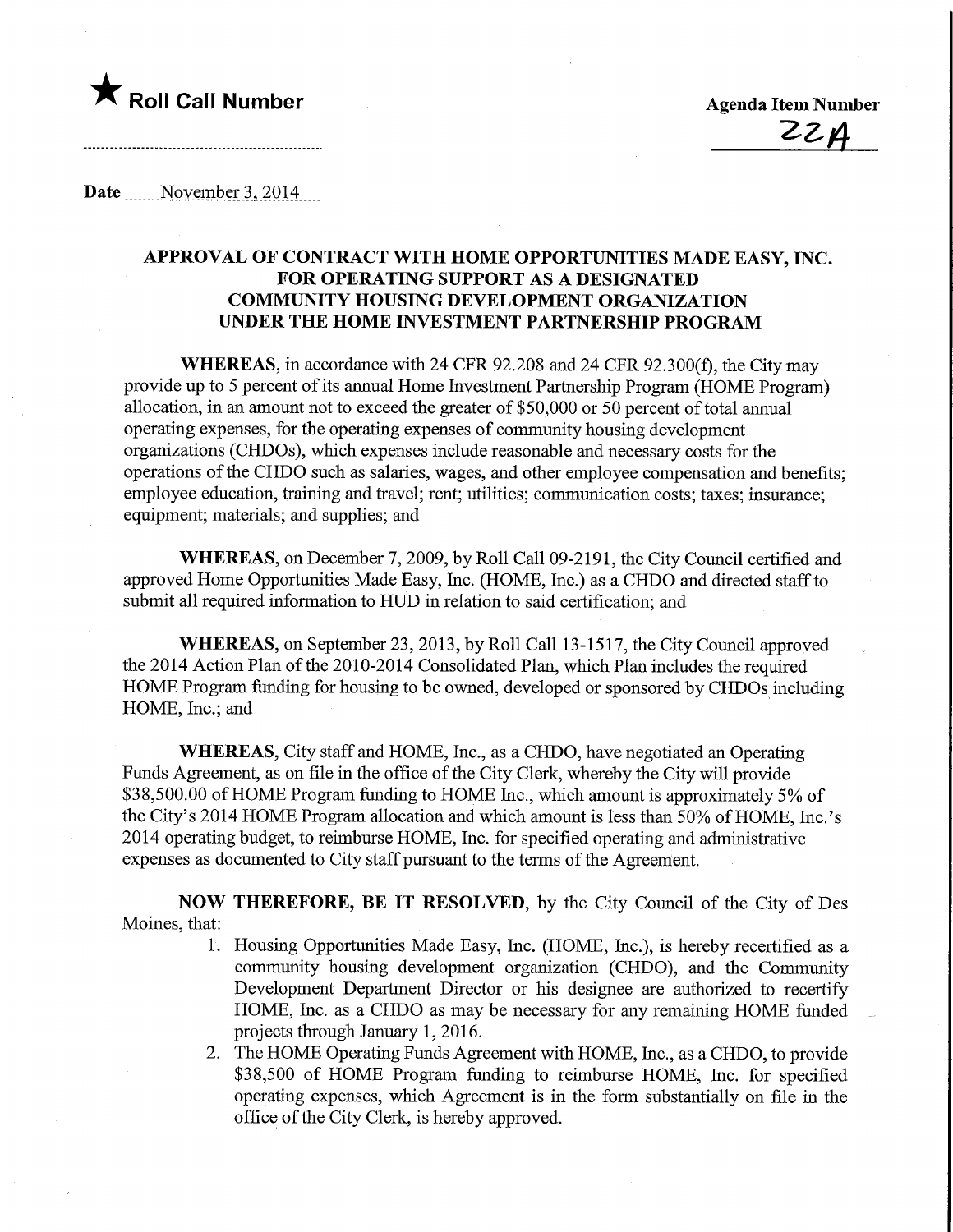

Date November 3, 2014

## APPROVAL OF CONTRACT WITH HOME OPPORTUNITIES MADE EASY, INC. FOR OPERATING SUPPORT AS A DESIGNATED COMMUNITY HOUSING DEVELOPMENT ORGANIZATION UNDER THE HOME INVESTMENT PARTNERSHIP PROGRAM

WHEREAS, in accordance with 24 CFR 92.208 and 24 CFR 92.300(f), the City may provide up to 5 percent of its annual Home Investment Partnership Program (HOME Program) allocation, in an amount not to exceed the greater of \$50,000 or 50 percent of total annual operating expenses, for the operating expenses of community housing development organizations (CHDOs), which expenses include reasonable and necessary costs for the operations of the CHDO such as salaries, wages, and other employee compensation and benefits; employee education, training and travel; rent; utilities; communication costs; taxes; insurance; equipment; materials; and supplies; and

WHEREAS, on December 7, 2009, by Roll Call 09-2191, the City Council certified and approved Home Opportunities Made Easy, Inc. (HOME, Inc.) as a CHDO and directed staff to submit all required information to HUD in relation to said certification; and

WHEREAS, on September 23, 2013, by Roll Call 13-1517, the City Council approved the 2014 Action Plan of the 2010-2014 Consolidated Plan, which Plan includes the required HOME Program funding for housing to be owned, developed or sponsored by CHDOs including HOME, Inc.; and

WHEREAS, City staff and HOME, Inc., as a CHDO, have negotiated an Operating Funds Agreement, as on file in the office of the City Clerk, whereby the City will provide \$38,500.00 of HOME Program funding to HOME Inc., which amount is approximately 5% of the City's 2014 HOME Program allocation and which amount is less than 50% of HOME, Inc.'s 2014 operating budget, to reimburse HOME, Inc. for specified operating and administrative expenses as documented to City staff pursuant to the terms of the Agreement.

NOW THEREFORE, BE IT RESOLVED, by the City Council of the City of Des Moines, that:

- 1. Housing Opportunities Made Easy, Inc. (HOME, Inc.), is hereby recertified as a community housing development organization (CHDO), and the Community Development Department Director or his desigaee are authorized to recertify HOME, Inc. as a CHDO as may be necessary for any remaining HOME funded projects through January 1, 2016.
- 2. The HOME Operating Funds Agreement with HOME, Inc., as a CHDO, to provide \$38,500 of HOME Program funding to reimburse HOME, Inc. for specified operating expenses, which Agreement is in the form substantially on file in the office of the City Clerk, is hereby approved.